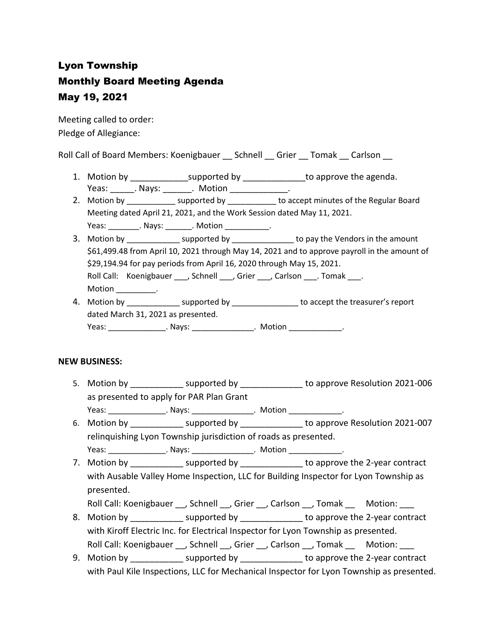# Lyon Township Monthly Board Meeting Agenda May 19, 2021

Meeting called to order: Pledge of Allegiance:

Roll Call of Board Members: Koenigbauer \_\_ Schnell \_\_ Grier \_\_ Tomak \_\_ Carlson \_\_

- 1. Motion by \_\_\_\_\_\_\_\_\_\_\_\_\_\_\_\_supported by \_\_\_\_\_\_\_\_\_\_\_\_\_\_\_\_\_to approve the agenda. Yeas: Nays: Notion Reas: Notion
- 2. Motion by \_\_\_\_\_\_\_\_\_\_\_\_\_ supported by \_\_\_\_\_\_\_\_\_\_\_ to accept minutes of the Regular Board Meeting dated April 21, 2021, and the Work Session dated May 11, 2021. Yeas: \_\_\_\_\_\_\_\_\_. Nays: \_\_\_\_\_\_\_\_. Motion \_\_\_\_\_\_\_\_\_\_\_\_.
	-
- 3. Motion by \_\_\_\_\_\_\_\_\_\_\_\_\_\_ supported by \_\_\_\_\_\_\_\_\_\_\_\_\_\_\_\_ to pay the Vendors in the amount \$61,499.48 from April 10, 2021 through May 14, 2021 and to approve payroll in the amount of \$29,194.94 for pay periods from April 16, 2020 through May 15, 2021. Roll Call: Koenigbauer , Schnell , Grier , Carlson . Tomak . Motion \_\_\_\_\_\_\_\_\_\_.
- 4. Motion by \_\_\_\_\_\_\_\_\_\_\_\_\_\_\_ supported by \_\_\_\_\_\_\_\_\_\_\_\_\_\_\_\_ to accept the treasurer's report dated March 31, 2021 as presented. Yeas: \_\_\_\_\_\_\_\_\_\_\_\_\_\_\_\_. Nays: \_\_\_\_\_\_\_\_\_\_\_\_\_\_\_\_. Motion \_\_\_\_\_\_\_\_\_\_\_\_\_\_.

### **NEW BUSINESS:**

- 5. Motion by \_\_\_\_\_\_\_\_\_\_\_\_\_ supported by \_\_\_\_\_\_\_\_\_\_\_\_\_\_ to approve Resolution 2021-006 as presented to apply for PAR Plan Grant Yeas: The Mays: The Motion Characteristic Motion Characteristic Motion Characteristic Motion Characteristic Mo
- 6. Motion by \_\_\_\_\_\_\_\_\_\_\_ supported by \_\_\_\_\_\_\_\_\_\_\_\_\_ to approve Resolution 2021-007 relinquishing Lyon Township jurisdiction of roads as presented.
- Yeas: \_\_\_\_\_\_\_\_\_\_\_\_\_\_\_\_\_. Nays: \_\_\_\_\_\_\_\_\_\_\_\_\_\_\_\_. Motion \_\_\_\_\_\_\_\_\_\_\_\_\_\_. 7. Motion by supported by \_\_\_\_\_\_\_\_\_\_\_\_\_\_\_\_\_ to approve the 2-year contract with Ausable Valley Home Inspection, LLC for Building Inspector for Lyon Township as presented.
	- Roll Call: Koenigbauer \_\_, Schnell \_\_, Grier \_\_, Carlson \_\_, Tomak \_\_ Motion: \_\_\_
- 8. Motion by entity supported by the approve the 2-year contract with Kiroff Electric Inc. for Electrical Inspector for Lyon Township as presented. Roll Call: Koenigbauer \_\_, Schnell \_\_, Grier \_\_, Carlson \_\_, Tomak \_\_ Motion: \_\_\_
- 9. Motion by \_\_\_\_\_\_\_\_\_\_\_\_\_\_ supported by \_\_\_\_\_\_\_\_\_\_\_\_\_\_\_\_ to approve the 2-year contract with Paul Kile Inspections, LLC for Mechanical Inspector for Lyon Township as presented.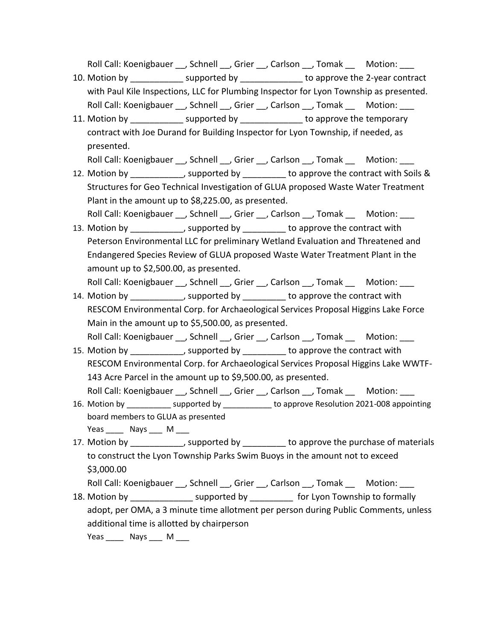Roll Call: Koenigbauer \_\_, Schnell \_\_, Grier \_\_, Carlson \_\_, Tomak \_\_ Motion: \_\_\_

- 10. Motion by \_\_\_\_\_\_\_\_\_\_\_ supported by \_\_\_\_\_\_\_\_\_\_\_\_\_ to approve the 2-year contract with Paul Kile Inspections, LLC for Plumbing Inspector for Lyon Township as presented. Roll Call: Koenigbauer \_\_, Schnell \_\_, Grier \_\_, Carlson \_\_, Tomak \_\_ Motion: \_\_\_
- 11. Motion by \_\_\_\_\_\_\_\_\_\_\_\_ supported by \_\_\_\_\_\_\_\_\_\_\_\_\_\_ to approve the temporary contract with Joe Durand for Building Inspector for Lyon Township, if needed, as presented.

Roll Call: Koenigbauer \_\_, Schnell \_\_, Grier \_\_, Carlson \_\_, Tomak \_\_ Motion: \_\_

- 12. Motion by the supported by the approve the contract with Soils & Structures for Geo Technical Investigation of GLUA proposed Waste Water Treatment Plant in the amount up to \$8,225.00, as presented. Roll Call: Koenigbauer . Schnell . Grier . Carlson . Tomak Motion:
- 13. Motion by the supported by to approve the contract with Peterson Environmental LLC for preliminary Wetland Evaluation and Threatened and Endangered Species Review of GLUA proposed Waste Water Treatment Plant in the amount up to \$2,500.00, as presented.

Roll Call: Koenigbauer \_\_, Schnell \_\_, Grier \_\_, Carlson \_\_, Tomak \_\_ Motion: \_\_\_

- 14. Motion by \_\_\_\_\_\_\_\_\_\_\_, supported by \_\_\_\_\_\_\_\_\_ to approve the contract with RESCOM Environmental Corp. for Archaeological Services Proposal Higgins Lake Force Main in the amount up to \$5,500.00, as presented. Roll Call: Koenigbauer \_\_, Schnell \_\_, Grier \_\_, Carlson \_\_, Tomak \_\_ Motion: \_\_\_
- 15. Motion by the supported by to approve the contract with RESCOM Environmental Corp. for Archaeological Services Proposal Higgins Lake WWTF-143 Acre Parcel in the amount up to \$9,500.00, as presented. Roll Call: Koenigbauer , Schnell , Grier , Carlson , Tomak Motion:
- 16. Motion by \_\_\_\_\_\_\_\_\_\_ supported by \_\_\_\_\_\_\_\_\_\_\_ to approve Resolution 2021-008 appointing board members to GLUA as presented Yeas \_\_\_\_\_\_ Nays \_\_\_\_ M \_\_\_\_
- 17. Motion by \_\_\_\_\_\_\_\_\_\_\_, supported by \_\_\_\_\_\_\_\_\_ to approve the purchase of materials to construct the Lyon Township Parks Swim Buoys in the amount not to exceed \$3,000.00

```
Roll Call: Koenigbauer __, Schnell __, Grier __, Carlson __, Tomak __ Motion: ___
```
18. Motion by \_\_\_\_\_\_\_\_\_\_\_\_\_\_\_\_ supported by \_\_\_\_\_\_\_\_\_\_\_ for Lyon Township to formally adopt, per OMA, a 3 minute time allotment per person during Public Comments, unless additional time is allotted by chairperson

Yeas \_\_\_\_\_ Nays \_\_\_\_ M \_\_\_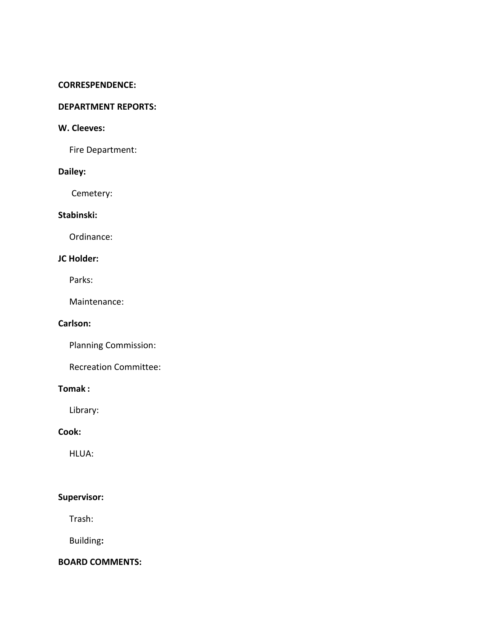#### **CORRESPENDENCE:**

#### **DEPARTMENT REPORTS:**

### **W. Cleeves:**

Fire Department:

## **Dailey:**

Cemetery:

# **Stabinski:**

Ordinance:

# **JC Holder:**

Parks:

Maintenance:

### **Carlson:**

Planning Commission:

Recreation Committee:

## **Tomak :**

Library:

# **Cook:**

HLUA:

# **Supervisor:**

Trash:

Building**:**

### **BOARD COMMENTS:**